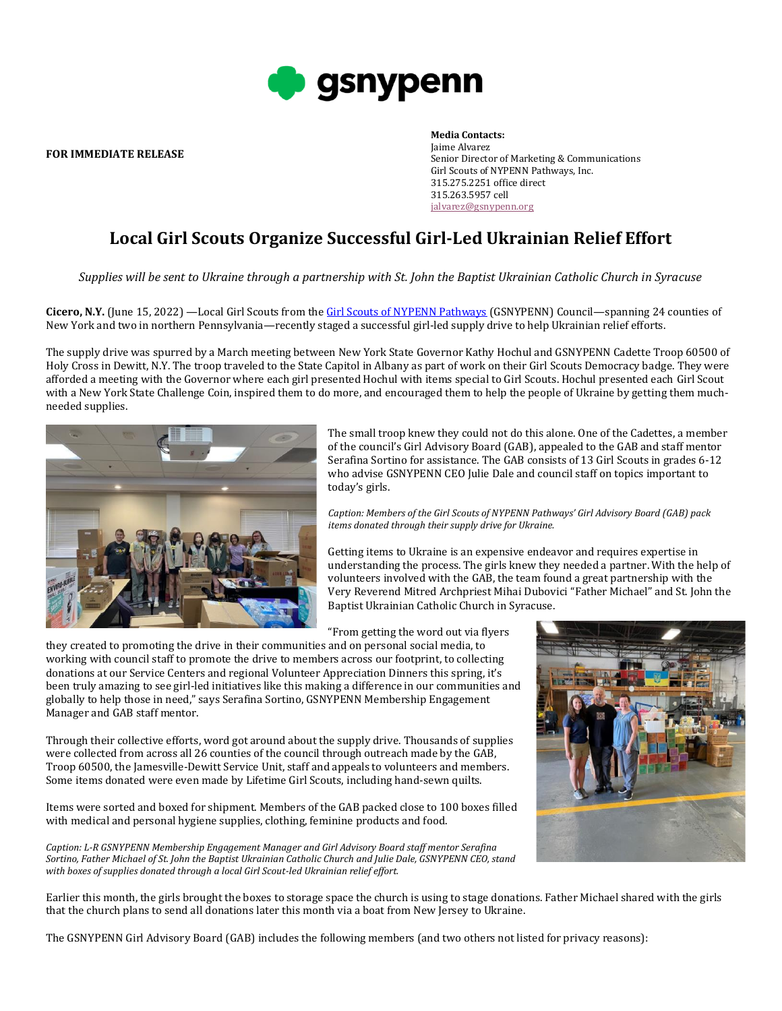

**FOR IMMEDIATE RELEASE**

## **Media Contacts:** Jaime Alvarez Senior Director of Marketing & Communications Girl Scouts of NYPENN Pathways, Inc. 315.275.2251 office direct 315.263.5957 cell [jalvarez@gsnypenn.org](mailto:jalvarez@gsnypenn.org)

## **Local Girl Scouts Organize Successful Girl-Led Ukrainian Relief Effort**

*Supplies will be sent to Ukraine through a partnership with St. John the Baptist Ukrainian Catholic Church in Syracuse*

**Cicero, N.Y.** (June 15, 2022) —Local Girl Scouts from th[e Girl Scouts of NYPENN Pathways](https://www.gsnypenn.org/) (GSNYPENN) Council—spanning 24 counties of New York and two in northern Pennsylvania—recently staged a successful girl-led supply drive to help Ukrainian relief efforts.

The supply drive was spurred by a March meeting between New York State Governor Kathy Hochul and GSNYPENN Cadette Troop 60500 of Holy Cross in Dewitt, N.Y. The troop traveled to the State Capitol in Albany as part of work on their Girl Scouts Democracy badge. They were afforded a meeting with the Governor where each girl presented Hochul with items special to Girl Scouts. Hochul presented each Girl Scout with a New York State Challenge Coin, inspired them to do more, and encouraged them to help the people of Ukraine by getting them muchneeded supplies.



The small troop knew they could not do this alone. One of the Cadettes, a member of the council's Girl Advisory Board (GAB), appealed to the GAB and staff mentor Serafina Sortino for assistance. The GAB consists of 13 Girl Scouts in grades 6-12 who advise GSNYPENN CEO Julie Dale and council staff on topics important to today's girls.

*Caption: Members of the Girl Scouts of NYPENN Pathways' Girl Advisory Board (GAB) pack items donated through their supply drive for Ukraine.*

Getting items to Ukraine is an expensive endeavor and requires expertise in understanding the process. The girls knew they needed a partner. With the help of volunteers involved with the GAB, the team found a great partnership with the Very Reverend Mitred Archpriest Mihai Dubovici "Father Michael" and St. John the Baptist Ukrainian Catholic Church in Syracuse.

"From getting the word out via flyers

they created to promoting the drive in their communities and on personal social media, to working with council staff to promote the drive to members across our footprint, to collecting donations at our Service Centers and regional Volunteer Appreciation Dinners this spring, it's been truly amazing to see girl-led initiatives like this making a difference in our communities and globally to help those in need," says Serafina Sortino, GSNYPENN Membership Engagement Manager and GAB staff mentor.

Through their collective efforts, word got around about the supply drive. Thousands of supplies were collected from across all 26 counties of the council through outreach made by the GAB, Troop 60500, the Jamesville-Dewitt Service Unit, staff and appeals to volunteers and members. Some items donated were even made by Lifetime Girl Scouts, including hand-sewn quilts.

Items were sorted and boxed for shipment. Members of the GAB packed close to 100 boxes filled with medical and personal hygiene supplies, clothing, feminine products and food.

*Caption: L-R GSNYPENN Membership Engagement Manager and Girl Advisory Board staff mentor Serafina Sortino, Father Michael of St. John the Baptist Ukrainian Catholic Church and Julie Dale, GSNYPENN CEO, stand with boxes of supplies donated through a local Girl Scout-led Ukrainian relief effort.* 



Earlier this month, the girls brought the boxes to storage space the church is using to stage donations. Father Michael shared with the girls that the church plans to send all donations later this month via a boat from New Jersey to Ukraine.

The GSNYPENN Girl Advisory Board (GAB) includes the following members (and two others not listed for privacy reasons):